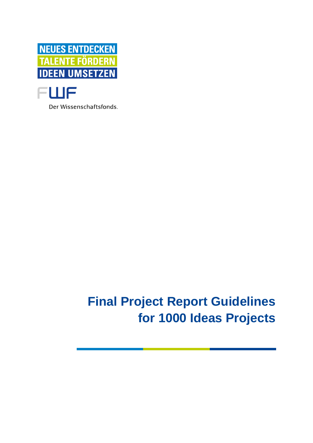



Der Wissenschaftsfonds.

# **Final Project Report Guidelines for 1000 Ideas Projects**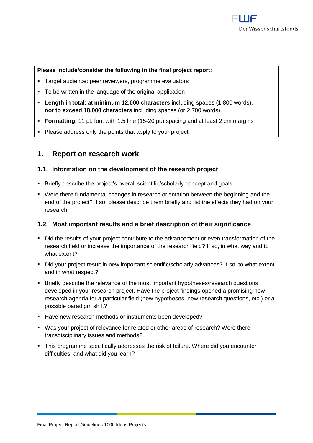#### **Please include/consider the following in the final project report:**

- **EXEC** Target audience: peer reviewers, programme evaluators
- To be written in the language of the original application
- **Length in total**: at **minimum 12,000 characters** including spaces (1,800 words), **not to exceed 18,000 characters** including spaces (or 2,700 words)
- **Formatting**: 11 pt. font with 1.5 line (15-20 pt.) spacing and at least 2 cm margins
- Please address only the points that apply to your project

# **1. Report on research work**

#### **1.1. Information on the development of the research project**

- **EXECT:** Briefly describe the project's overall scientific/scholarly concept and goals.
- Were there fundamental changes in research orientation between the beginning and the end of the project? If so, please describe them briefly and list the effects they had on your research.

#### **1.2. Most important results and a brief description of their significance**

- Did the results of your project contribute to the advancement or even transformation of the research field or increase the importance of the research field? If so, in what way and to what extent?
- Did your project result in new important scientific/scholarly advances? If so, to what extent and in what respect?
- **EXECTE FIEF IS A EXECTEDE THE META** FIEFT Briefly describe the relevance of the most important hypotheses/research questions developed in your research project. Have the project findings opened a promising new research agenda for a particular field (new hypotheses, new research questions, etc.) or a possible paradigm shift?
- Have new research methods or instruments been developed?
- Was your project of relevance for related or other areas of research? Were there transdisciplinary issues and methods?
- **This programme specifically addresses the risk of failure. Where did you encounter** difficulties, and what did you learn?